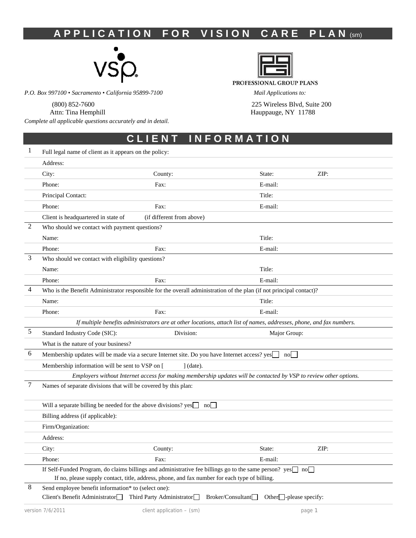# **A P P L I C A T I O N F O R V I S I O N C A R E P L A N (Sm)**



*P.O. Box 997100 • Sacramento • California 95899-7100 Mail Applications to:* 

*Complete all applicable questions accurately and in detail.* 



PROFESSIONAL GROUP PLANS

 (800) 852-7600 225 Wireless Blvd, Suite 200 Attn: Tina Hemphill **Hauppauge, NY 11788** Hauppauge, NY 11788

## **C L I E N T I N F O R M A T I O N**

| 1 | Full legal name of client as it appears on the policy:                                                               |                                                                                                                      |                                                    |        |
|---|----------------------------------------------------------------------------------------------------------------------|----------------------------------------------------------------------------------------------------------------------|----------------------------------------------------|--------|
|   | Address:                                                                                                             |                                                                                                                      |                                                    |        |
|   | City:                                                                                                                | County:                                                                                                              | State:                                             | ZIP:   |
|   | Phone:                                                                                                               | Fax:                                                                                                                 | E-mail:                                            |        |
|   | Principal Contact:                                                                                                   |                                                                                                                      | Title:                                             |        |
|   | Phone:                                                                                                               | Fax:                                                                                                                 | E-mail:                                            |        |
|   | Client is headquartered in state of                                                                                  | (if different from above)                                                                                            |                                                    |        |
| 2 | Who should we contact with payment questions?                                                                        |                                                                                                                      |                                                    |        |
|   | Name:                                                                                                                |                                                                                                                      | Title:                                             |        |
|   | Phone:                                                                                                               | Fax:                                                                                                                 | E-mail:                                            |        |
| 3 | Who should we contact with eligibility questions?                                                                    |                                                                                                                      |                                                    |        |
|   | Name:                                                                                                                |                                                                                                                      | Title:                                             |        |
|   | Phone:                                                                                                               | Fax:                                                                                                                 | E-mail:                                            |        |
| 4 | Who is the Benefit Administrator responsible for the overall administration of the plan (if not principal contact)?  |                                                                                                                      |                                                    |        |
|   | Name:                                                                                                                |                                                                                                                      | Title:                                             |        |
|   | Phone:                                                                                                               | Fax:                                                                                                                 | E-mail:                                            |        |
|   |                                                                                                                      | If multiple benefits administrators are at other locations, attach list of names, addresses, phone, and fax numbers. |                                                    |        |
| 5 | Standard Industry Code (SIC):                                                                                        | Division:                                                                                                            | Major Group:                                       |        |
|   | What is the nature of your business?                                                                                 |                                                                                                                      |                                                    |        |
| 6 | Membership updates will be made via a secure Internet site. Do you have Internet access? yes                         |                                                                                                                      |                                                    |        |
|   | Membership information will be sent to VSP on [                                                                      | $\int$ (date).                                                                                                       |                                                    |        |
|   |                                                                                                                      | Employers without Internet access for making membership updates will be contacted by VSP to review other options.    |                                                    |        |
| 7 | Names of separate divisions that will be covered by this plan:                                                       |                                                                                                                      |                                                    |        |
|   | Will a separate billing be needed for the above divisions? $yes \Box no \Box$                                        |                                                                                                                      |                                                    |        |
|   | Billing address (if applicable):                                                                                     |                                                                                                                      |                                                    |        |
|   | Firm/Organization:                                                                                                   |                                                                                                                      |                                                    |        |
|   | Address:                                                                                                             |                                                                                                                      |                                                    |        |
|   | City:                                                                                                                | County:                                                                                                              | State:                                             | ZIP:   |
|   | Phone:                                                                                                               | Fax:                                                                                                                 | E-mail:                                            |        |
|   | If Self-Funded Program, do claims billings and administrative fee billings go to the same person? $yes \Box no \Box$ | If no, please supply contact, title, address, phone, and fax number for each type of billing.                        |                                                    |        |
| 8 | Send employee benefit information* to (select one):                                                                  |                                                                                                                      |                                                    |        |
|   | Client's Benefit Administrator <sup>1</sup>                                                                          | Third Party Administrator                                                                                            | Broker/Consultant<br>Other $\Box$ -please specify: |        |
|   | version 7/6/2011                                                                                                     | client application - (sm)                                                                                            |                                                    | page 1 |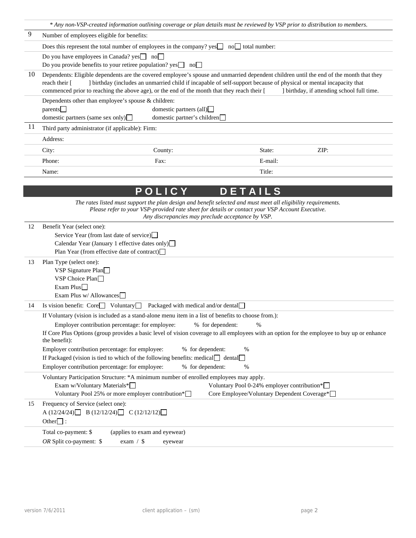|          | * Any non-VSP-created information outlining coverage or plan details must be reviewed by VSP prior to distribution to members.                                                                                                                                                                                                          |                                                               |                                                                                            |         |                                                                                                                                                                  |
|----------|-----------------------------------------------------------------------------------------------------------------------------------------------------------------------------------------------------------------------------------------------------------------------------------------------------------------------------------------|---------------------------------------------------------------|--------------------------------------------------------------------------------------------|---------|------------------------------------------------------------------------------------------------------------------------------------------------------------------|
| 9        | Number of employees eligible for benefits:                                                                                                                                                                                                                                                                                              |                                                               |                                                                                            |         |                                                                                                                                                                  |
|          | Does this represent the total number of employees in the company? $yes$                                                                                                                                                                                                                                                                 |                                                               | $no$ total number:                                                                         |         |                                                                                                                                                                  |
|          | Do you have employees in Canada? yes□ no□                                                                                                                                                                                                                                                                                               |                                                               |                                                                                            |         |                                                                                                                                                                  |
|          | Do you provide benefits to your retiree population? $yes \Box no \Box$                                                                                                                                                                                                                                                                  |                                                               |                                                                                            |         |                                                                                                                                                                  |
| 10       | Dependents: Eligible dependents are the covered employee's spouse and unmarried dependent children until the end of the month that they<br>reach their [<br>commenced prior to reaching the above age), or the end of the month that they reach their [                                                                                 |                                                               |                                                                                            |         | ] birthday (includes an unmarried child if incapable of self-support because of physical or mental incapacity that<br>I birthday, if attending school full time. |
|          | Dependents other than employee's spouse & children:<br>parents<br>domestic partners (same sex only) $\Box$                                                                                                                                                                                                                              | domestic partners (all) $\Box$<br>domestic partner's children |                                                                                            |         |                                                                                                                                                                  |
| 11       | Third party administrator (if applicable): Firm:                                                                                                                                                                                                                                                                                        |                                                               |                                                                                            |         |                                                                                                                                                                  |
|          | Address:                                                                                                                                                                                                                                                                                                                                |                                                               |                                                                                            |         |                                                                                                                                                                  |
|          | City:                                                                                                                                                                                                                                                                                                                                   | County:                                                       |                                                                                            | State:  | ZIP:                                                                                                                                                             |
|          | Phone:                                                                                                                                                                                                                                                                                                                                  | Fax:                                                          |                                                                                            | E-mail: |                                                                                                                                                                  |
|          | Name:                                                                                                                                                                                                                                                                                                                                   |                                                               |                                                                                            | Title:  |                                                                                                                                                                  |
|          |                                                                                                                                                                                                                                                                                                                                         |                                                               |                                                                                            |         |                                                                                                                                                                  |
|          |                                                                                                                                                                                                                                                                                                                                         | POLICY                                                        | DETAILS                                                                                    |         |                                                                                                                                                                  |
| 12<br>13 | Benefit Year (select one):<br>Service Year (from last date of service)<br>Calendar Year (January 1 effective dates only)<br>Plan Year (from effective date of contract)<br>Plan Type (select one):<br>VSP Signature Plan□                                                                                                               |                                                               |                                                                                            |         |                                                                                                                                                                  |
|          | VSP Choice Plan $\Box$<br>Exam Plus $\Box$<br>Exam Plus w/ Allowances                                                                                                                                                                                                                                                                   |                                                               |                                                                                            |         |                                                                                                                                                                  |
| 14       | Is vision benefit: Core   Voluntary                                                                                                                                                                                                                                                                                                     | Packaged with medical and/or dental                           |                                                                                            |         |                                                                                                                                                                  |
|          | If Voluntary (vision is included as a stand-alone menu item in a list of benefits to choose from.):<br>Employer contribution percentage: for employee: % for dependent:<br>If Core Plus Options (group provides a basic level of vision coverage to all employees with an option for the employee to buy up or enhance<br>the benefit): |                                                               |                                                                                            | $\%$    |                                                                                                                                                                  |
|          | Employer contribution percentage: for employee:<br>If Packaged (vision is tied to which of the following benefits: medical□ dental□                                                                                                                                                                                                     |                                                               | % for dependent:<br>%                                                                      |         |                                                                                                                                                                  |
|          | Employer contribution percentage: for employee:                                                                                                                                                                                                                                                                                         |                                                               | % for dependent:<br>%                                                                      |         |                                                                                                                                                                  |
|          | Voluntary Participation Structure: * A minimum number of enrolled employees may apply.<br>Exam w/Voluntary Materials*<br>Voluntary Pool 25% or more employer contribution*                                                                                                                                                              |                                                               | Voluntary Pool 0-24% employer contribution*<br>Core Employee/Voluntary Dependent Coverage* |         |                                                                                                                                                                  |
| 15       | Frequency of Service (select one):<br>A $(12/24/24)$ B $(12/12/24)$ C $(12/12/12)$<br>Other $\Box$ :                                                                                                                                                                                                                                    |                                                               |                                                                                            |         |                                                                                                                                                                  |
|          | Total co-payment: \$<br>OR Split co-payment: \$<br>exam $/$ \$                                                                                                                                                                                                                                                                          | (applies to exam and eyewear)<br>eyewear                      |                                                                                            |         |                                                                                                                                                                  |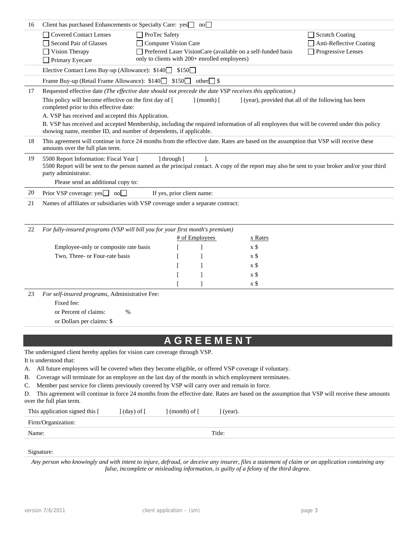| 16 | Client has purchased Enhancements or Specialty Care: yes no                                                                                                                                                                                                                                                                                                                                                                                                                          |                                                                                        |                         |                                                              |                                                                         |
|----|--------------------------------------------------------------------------------------------------------------------------------------------------------------------------------------------------------------------------------------------------------------------------------------------------------------------------------------------------------------------------------------------------------------------------------------------------------------------------------------|----------------------------------------------------------------------------------------|-------------------------|--------------------------------------------------------------|-------------------------------------------------------------------------|
|    | <b>Covered Contact Lenses</b><br>Second Pair of Glasses<br>$\Box$ Vision Therapy<br>Primary Eyecare                                                                                                                                                                                                                                                                                                                                                                                  | ProTec Safety<br>Computer Vision Care<br>only to clients with 200+ enrolled employees) |                         | Preferred Laser VisionCare (available on a self-funded basis | Scratch Coating<br>Anti-Reflective Coating<br>$\Box$ Progressive Lenses |
|    | Elective Contact Lens Buy-up (Allowance): \$140                                                                                                                                                                                                                                                                                                                                                                                                                                      |                                                                                        | \$150                   |                                                              |                                                                         |
|    | Frame Buy-up (Retail Frame Allowance): \$140 \$150 other S                                                                                                                                                                                                                                                                                                                                                                                                                           |                                                                                        |                         |                                                              |                                                                         |
| 17 | Requested effective date (The effective date should not precede the date VSP receives this application.)<br>This policy will become effective on the first day of [<br>completed prior to this effective date:<br>A. VSP has received and accepted this Application.<br>B. VSP has received and accepted Membership, including the required information of all employees that will be covered under this policy<br>showing name, member ID, and number of dependents, if applicable. |                                                                                        | $\vert$ (month) $\vert$ |                                                              | (year), provided that all of the following has been                     |
| 18 | This agreement will continue in force 24 months from the effective date. Rates are based on the assumption that VSP will receive these<br>amounts over the full plan term.                                                                                                                                                                                                                                                                                                           |                                                                                        |                         |                                                              |                                                                         |
| 19 | 5500 Report Information: Fiscal Year [<br>5500 Report will be sent to the person named as the principal contact. A copy of the report may also be sent to your broker and/or your third<br>party administrator.<br>Please send an additional copy to:                                                                                                                                                                                                                                | ] through [                                                                            | 1.                      |                                                              |                                                                         |
| 20 | Prior VSP coverage: $yes$ no $\Box$                                                                                                                                                                                                                                                                                                                                                                                                                                                  | If yes, prior client name:                                                             |                         |                                                              |                                                                         |
| 21 | Names of affiliates or subsidiaries with VSP coverage under a separate contract:                                                                                                                                                                                                                                                                                                                                                                                                     |                                                                                        |                         |                                                              |                                                                         |
| 22 | For fully-insured programs (VSP will bill you for your first month's premium)                                                                                                                                                                                                                                                                                                                                                                                                        |                                                                                        |                         |                                                              |                                                                         |
|    |                                                                                                                                                                                                                                                                                                                                                                                                                                                                                      |                                                                                        | # of Employees          | x Rates                                                      |                                                                         |
|    | Employee-only or composite rate basis                                                                                                                                                                                                                                                                                                                                                                                                                                                |                                                                                        |                         | $\boldsymbol{x}$ \$                                          |                                                                         |
|    | Two, Three- or Four-rate basis                                                                                                                                                                                                                                                                                                                                                                                                                                                       |                                                                                        |                         | x \$                                                         |                                                                         |
|    |                                                                                                                                                                                                                                                                                                                                                                                                                                                                                      |                                                                                        |                         | $\boldsymbol{x}$ \$                                          |                                                                         |
|    |                                                                                                                                                                                                                                                                                                                                                                                                                                                                                      |                                                                                        |                         | x \$                                                         |                                                                         |
|    |                                                                                                                                                                                                                                                                                                                                                                                                                                                                                      |                                                                                        |                         | x \$                                                         |                                                                         |
| 23 | For self-insured programs, Administrative Fee:<br>Fixed fee:<br>or Percent of claims:<br>%<br>or Dollars per claims: \$                                                                                                                                                                                                                                                                                                                                                              |                                                                                        |                         |                                                              |                                                                         |
|    | The undersigned client hereby applies for vision care coverage through VSP.                                                                                                                                                                                                                                                                                                                                                                                                          |                                                                                        | <b>AGREEMENT</b>        |                                                              |                                                                         |
|    | It is understood that:<br>1.33.8                                                                                                                                                                                                                                                                                                                                                                                                                                                     |                                                                                        |                         |                                                              |                                                                         |

- A. All future employees will be covered when they become eligible, or offered VSP coverage if voluntary.
- B. Coverage will terminate for an employee on the last day of the month in which employment terminates.
- C. Member past service for clients previously covered by VSP will carry over and remain in force.

D. This agreement will continue in force 24 months from the effective date. Rates are based on the assumption that VSP will receive these amounts over the full plan term.

| This application signed this [ | $\vert$ (day) of $\vert$ | $\pmod{6}$ | $\dot{}$ (year). |  |
|--------------------------------|--------------------------|------------|------------------|--|
| Firm/Organization:             |                          |            |                  |  |
| Name:                          |                          |            | Title:           |  |
|                                |                          |            |                  |  |

### Signature:

*Any person who knowingly and with intent to injure, defraud, or deceive any insurer, files a statement of claim or an application containing any false, incomplete or misleading information, is guilty of a felony of the third degree.*